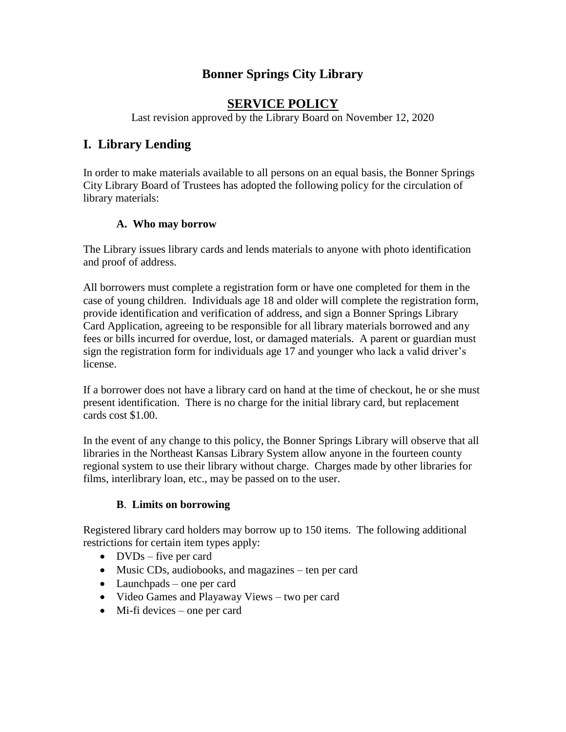# **Bonner Springs City Library**

## **SERVICE POLICY**

Last revision approved by the Library Board on November 12, 2020

# **I. Library Lending**

In order to make materials available to all persons on an equal basis, the Bonner Springs City Library Board of Trustees has adopted the following policy for the circulation of library materials:

#### **A. Who may borrow**

The Library issues library cards and lends materials to anyone with photo identification and proof of address.

All borrowers must complete a registration form or have one completed for them in the case of young children. Individuals age 18 and older will complete the registration form, provide identification and verification of address, and sign a Bonner Springs Library Card Application, agreeing to be responsible for all library materials borrowed and any fees or bills incurred for overdue, lost, or damaged materials. A parent or guardian must sign the registration form for individuals age 17 and younger who lack a valid driver's license.

If a borrower does not have a library card on hand at the time of checkout, he or she must present identification. There is no charge for the initial library card, but replacement cards cost \$1.00.

In the event of any change to this policy, the Bonner Springs Library will observe that all libraries in the Northeast Kansas Library System allow anyone in the fourteen county regional system to use their library without charge. Charges made by other libraries for films, interlibrary loan, etc., may be passed on to the user.

#### **B**. **Limits on borrowing**

Registered library card holders may borrow up to 150 items. The following additional restrictions for certain item types apply:

- $\bullet$  DVDs five per card
- Music CDs, audiobooks, and magazines ten per card
- Launchpads one per card
- Video Games and Playaway Views two per card
- Mi-fi devices one per card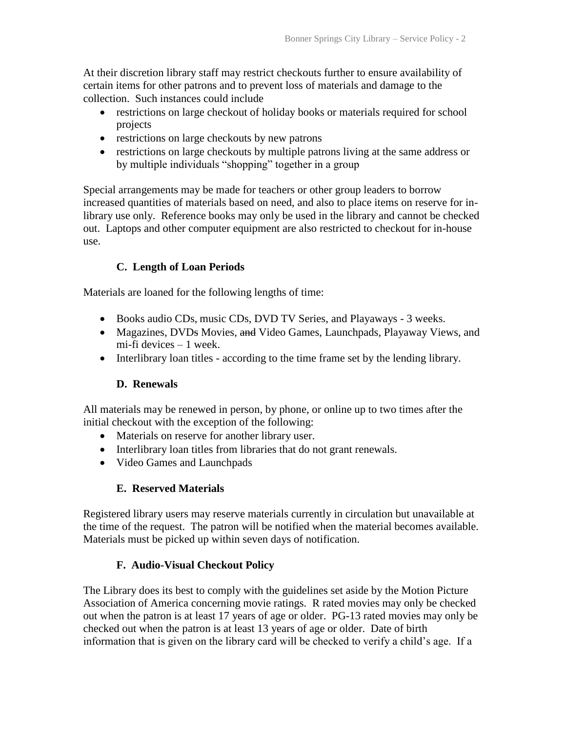At their discretion library staff may restrict checkouts further to ensure availability of certain items for other patrons and to prevent loss of materials and damage to the collection. Such instances could include

- restrictions on large checkout of holiday books or materials required for school projects
- restrictions on large checkouts by new patrons
- restrictions on large checkouts by multiple patrons living at the same address or by multiple individuals "shopping" together in a group

Special arrangements may be made for teachers or other group leaders to borrow increased quantities of materials based on need, and also to place items on reserve for inlibrary use only. Reference books may only be used in the library and cannot be checked out. Laptops and other computer equipment are also restricted to checkout for in-house use.

# **C. Length of Loan Periods**

Materials are loaned for the following lengths of time:

- Books audio CDs, music CDs, DVD TV Series, and Playaways 3 weeks.
- Magazines, DVDs Movies, and Video Games, Launchpads, Playaway Views, and mi-fi devices – 1 week.
- Interlibrary loan titles according to the time frame set by the lending library.

### **D. Renewals**

All materials may be renewed in person, by phone, or online up to two times after the initial checkout with the exception of the following:

- Materials on reserve for another library user.
- Interlibrary loan titles from libraries that do not grant renewals.
- Video Games and Launchpads

### **E. Reserved Materials**

Registered library users may reserve materials currently in circulation but unavailable at the time of the request. The patron will be notified when the material becomes available. Materials must be picked up within seven days of notification.

### **F. Audio-Visual Checkout Policy**

The Library does its best to comply with the guidelines set aside by the Motion Picture Association of America concerning movie ratings. R rated movies may only be checked out when the patron is at least 17 years of age or older. PG-13 rated movies may only be checked out when the patron is at least 13 years of age or older. Date of birth information that is given on the library card will be checked to verify a child's age. If a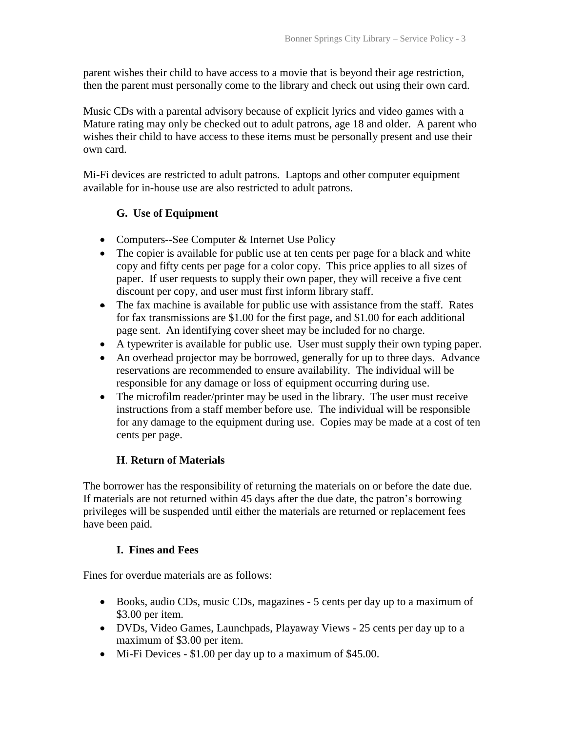parent wishes their child to have access to a movie that is beyond their age restriction, then the parent must personally come to the library and check out using their own card.

Music CDs with a parental advisory because of explicit lyrics and video games with a Mature rating may only be checked out to adult patrons, age 18 and older. A parent who wishes their child to have access to these items must be personally present and use their own card.

Mi-Fi devices are restricted to adult patrons. Laptops and other computer equipment available for in-house use are also restricted to adult patrons.

#### **G. Use of Equipment**

- Computers--See Computer & Internet Use Policy
- The copier is available for public use at ten cents per page for a black and white copy and fifty cents per page for a color copy. This price applies to all sizes of paper. If user requests to supply their own paper, they will receive a five cent discount per copy, and user must first inform library staff.
- The fax machine is available for public use with assistance from the staff. Rates for fax transmissions are \$1.00 for the first page, and \$1.00 for each additional page sent. An identifying cover sheet may be included for no charge.
- A typewriter is available for public use. User must supply their own typing paper.
- An overhead projector may be borrowed, generally for up to three days. Advance reservations are recommended to ensure availability. The individual will be responsible for any damage or loss of equipment occurring during use.
- The microfilm reader/printer may be used in the library. The user must receive instructions from a staff member before use. The individual will be responsible for any damage to the equipment during use. Copies may be made at a cost of ten cents per page.

#### **H**. **Return of Materials**

The borrower has the responsibility of returning the materials on or before the date due. If materials are not returned within 45 days after the due date, the patron's borrowing privileges will be suspended until either the materials are returned or replacement fees have been paid.

#### **I. Fines and Fees**

Fines for overdue materials are as follows:

- Books, audio CDs, music CDs, magazines 5 cents per day up to a maximum of \$3.00 per item.
- DVDs, Video Games, Launchpads, Playaway Views 25 cents per day up to a maximum of \$3.00 per item.
- Mi-Fi Devices \$1.00 per day up to a maximum of \$45.00.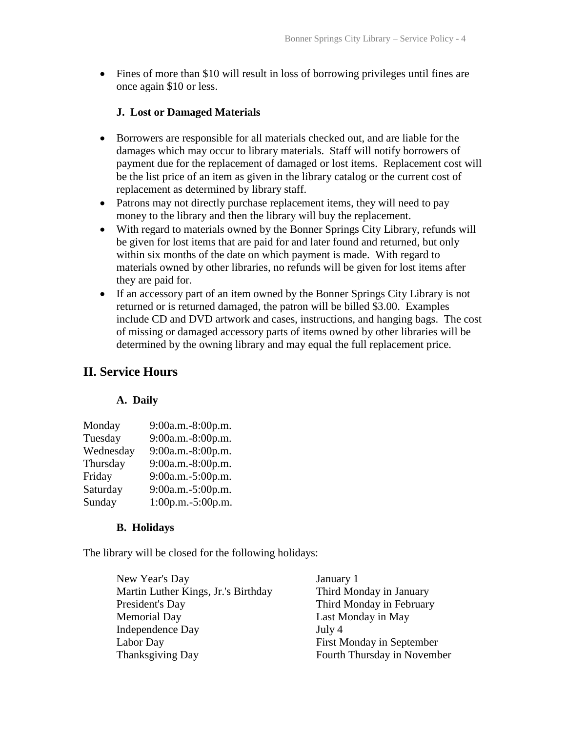Fines of more than \$10 will result in loss of borrowing privileges until fines are once again \$10 or less.

#### **J. Lost or Damaged Materials**

- Borrowers are responsible for all materials checked out, and are liable for the damages which may occur to library materials. Staff will notify borrowers of payment due for the replacement of damaged or lost items. Replacement cost will be the list price of an item as given in the library catalog or the current cost of replacement as determined by library staff.
- Patrons may not directly purchase replacement items, they will need to pay money to the library and then the library will buy the replacement.
- With regard to materials owned by the Bonner Springs City Library, refunds will be given for lost items that are paid for and later found and returned, but only within six months of the date on which payment is made. With regard to materials owned by other libraries, no refunds will be given for lost items after they are paid for.
- If an accessory part of an item owned by the Bonner Springs City Library is not returned or is returned damaged, the patron will be billed \$3.00. Examples include CD and DVD artwork and cases, instructions, and hanging bags. The cost of missing or damaged accessory parts of items owned by other libraries will be determined by the owning library and may equal the full replacement price.

# **II. Service Hours**

#### **A. Daily**

| Monday    | 9:00a.m.-8:00p.m. |
|-----------|-------------------|
| Tuesday   | 9:00a.m.-8:00p.m. |
| Wednesday | 9:00a.m.-8:00p.m. |
| Thursday  | 9:00a.m.-8:00p.m. |
| Friday    | 9:00a.m.-5:00p.m. |
| Saturday  | 9:00a.m.-5:00p.m. |
| Sunday    | 1:00p.m.-5:00p.m. |

#### **B. Holidays**

The library will be closed for the following holidays:

| January 1                   |
|-----------------------------|
| Third Monday in January     |
| Third Monday in February    |
| Last Monday in May          |
| July 4                      |
| First Monday in September   |
| Fourth Thursday in November |
|                             |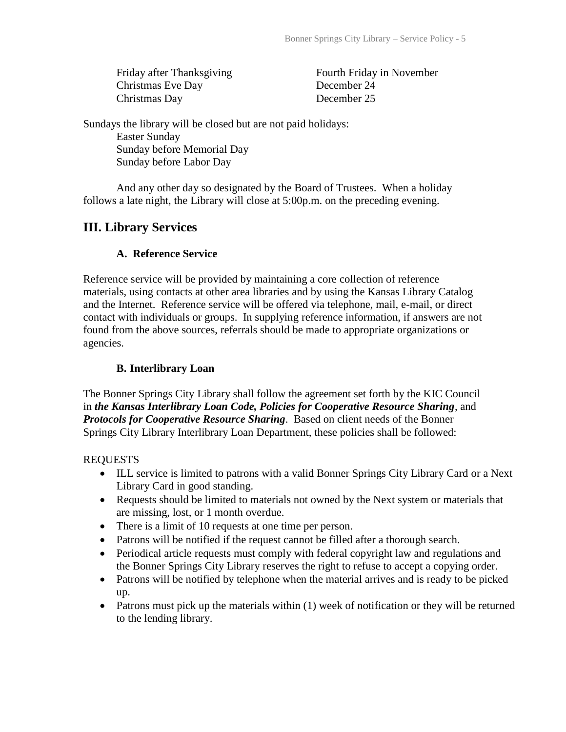Christmas Eve Day December 24 Christmas Day December 25

Friday after Thanksgiving Fourth Friday in November

Sundays the library will be closed but are not paid holidays:

Easter Sunday Sunday before Memorial Day Sunday before Labor Day

And any other day so designated by the Board of Trustees. When a holiday follows a late night, the Library will close at 5:00p.m. on the preceding evening.

# **III. Library Services**

### **A. Reference Service**

Reference service will be provided by maintaining a core collection of reference materials, using contacts at other area libraries and by using the Kansas Library Catalog and the Internet. Reference service will be offered via telephone, mail, e-mail, or direct contact with individuals or groups. In supplying reference information, if answers are not found from the above sources, referrals should be made to appropriate organizations or agencies.

### **B. Interlibrary Loan**

The Bonner Springs City Library shall follow the agreement set forth by the KIC Council in *the Kansas Interlibrary Loan Code, Policies for Cooperative Resource Sharing*, and *Protocols for Cooperative Resource Sharing*. Based on client needs of the Bonner Springs City Library Interlibrary Loan Department, these policies shall be followed:

### REQUESTS

- ILL service is limited to patrons with a valid Bonner Springs City Library Card or a Next Library Card in good standing.
- Requests should be limited to materials not owned by the Next system or materials that are missing, lost, or 1 month overdue.
- There is a limit of 10 requests at one time per person.
- Patrons will be notified if the request cannot be filled after a thorough search.
- Periodical article requests must comply with federal copyright law and regulations and the Bonner Springs City Library reserves the right to refuse to accept a copying order.
- Patrons will be notified by telephone when the material arrives and is ready to be picked up.
- Patrons must pick up the materials within (1) week of notification or they will be returned to the lending library.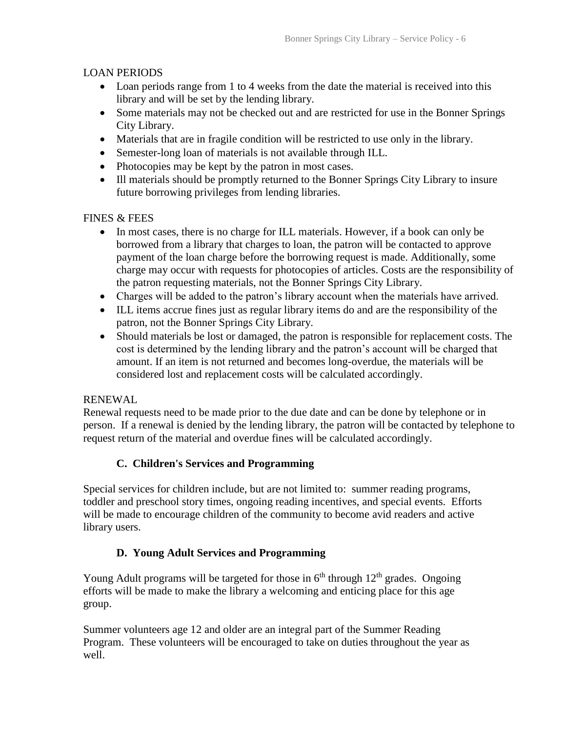#### LOAN PERIODS

- Loan periods range from 1 to 4 weeks from the date the material is received into this library and will be set by the lending library.
- Some materials may not be checked out and are restricted for use in the Bonner Springs City Library.
- Materials that are in fragile condition will be restricted to use only in the library.
- Semester-long loan of materials is not available through ILL.
- Photocopies may be kept by the patron in most cases.
- Ill materials should be promptly returned to the Bonner Springs City Library to insure future borrowing privileges from lending libraries.

#### FINES & FEES

- In most cases, there is no charge for ILL materials. However, if a book can only be borrowed from a library that charges to loan, the patron will be contacted to approve payment of the loan charge before the borrowing request is made. Additionally, some charge may occur with requests for photocopies of articles. Costs are the responsibility of the patron requesting materials, not the Bonner Springs City Library.
- Charges will be added to the patron's library account when the materials have arrived.
- ILL items accrue fines just as regular library items do and are the responsibility of the patron, not the Bonner Springs City Library.
- Should materials be lost or damaged, the patron is responsible for replacement costs. The cost is determined by the lending library and the patron's account will be charged that amount. If an item is not returned and becomes long-overdue, the materials will be considered lost and replacement costs will be calculated accordingly.

### RENEWAL

Renewal requests need to be made prior to the due date and can be done by telephone or in person. If a renewal is denied by the lending library, the patron will be contacted by telephone to request return of the material and overdue fines will be calculated accordingly.

### **C. Children's Services and Programming**

Special services for children include, but are not limited to: summer reading programs, toddler and preschool story times, ongoing reading incentives, and special events. Efforts will be made to encourage children of the community to become avid readers and active library users.

### **D. Young Adult Services and Programming**

Young Adult programs will be targeted for those in  $6<sup>th</sup>$  through  $12<sup>th</sup>$  grades. Ongoing efforts will be made to make the library a welcoming and enticing place for this age group.

Summer volunteers age 12 and older are an integral part of the Summer Reading Program. These volunteers will be encouraged to take on duties throughout the year as well.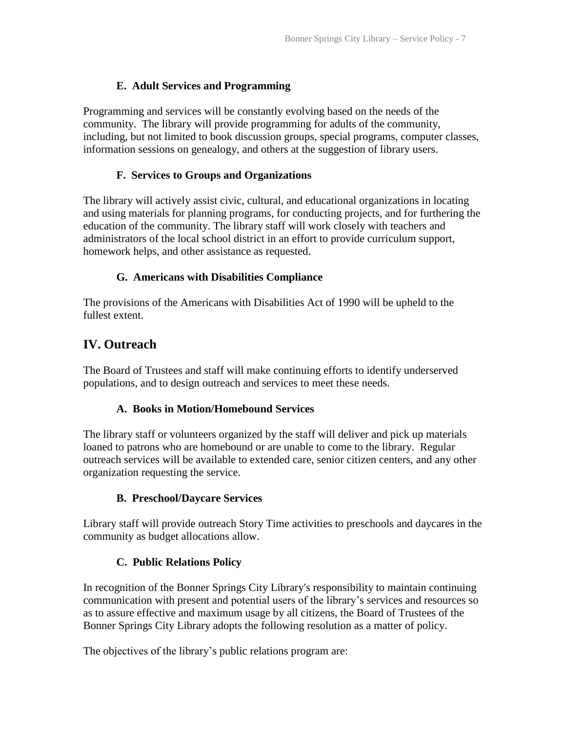### **E. Adult Services and Programming**

Programming and services will be constantly evolving based on the needs of the community. The library will provide programming for adults of the community, including, but not limited to book discussion groups, special programs, computer classes, information sessions on genealogy, and others at the suggestion of library users.

### **F. Services to Groups and Organizations**

The library will actively assist civic, cultural, and educational organizations in locating and using materials for planning programs, for conducting projects, and for furthering the education of the community. The library staff will work closely with teachers and administrators of the local school district in an effort to provide curriculum support, homework helps, and other assistance as requested.

### **G. Americans with Disabilities Compliance**

The provisions of the Americans with Disabilities Act of 1990 will be upheld to the fullest extent.

# **IV. Outreach**

The Board of Trustees and staff will make continuing efforts to identify underserved populations, and to design outreach and services to meet these needs.

### **A. Books in Motion/Homebound Services**

The library staff or volunteers organized by the staff will deliver and pick up materials loaned to patrons who are homebound or are unable to come to the library. Regular outreach services will be available to extended care, senior citizen centers, and any other organization requesting the service.

### **B. Preschool/Daycare Services**

Library staff will provide outreach Story Time activities to preschools and daycares in the community as budget allocations allow.

### **C. Public Relations Policy**

In recognition of the Bonner Springs City Library's responsibility to maintain continuing communication with present and potential users of the library's services and resources so as to assure effective and maximum usage by all citizens, the Board of Trustees of the Bonner Springs City Library adopts the following resolution as a matter of policy.

The objectives of the library's public relations program are: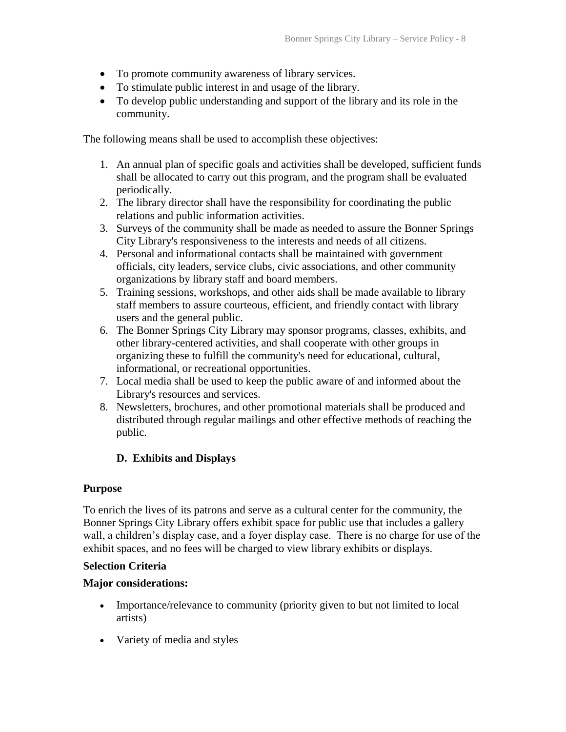- To promote community awareness of library services.
- To stimulate public interest in and usage of the library.
- To develop public understanding and support of the library and its role in the community.

The following means shall be used to accomplish these objectives:

- 1. An annual plan of specific goals and activities shall be developed, sufficient funds shall be allocated to carry out this program, and the program shall be evaluated periodically.
- 2. The library director shall have the responsibility for coordinating the public relations and public information activities.
- 3. Surveys of the community shall be made as needed to assure the Bonner Springs City Library's responsiveness to the interests and needs of all citizens.
- 4. Personal and informational contacts shall be maintained with government officials, city leaders, service clubs, civic associations, and other community organizations by library staff and board members.
- 5. Training sessions, workshops, and other aids shall be made available to library staff members to assure courteous, efficient, and friendly contact with library users and the general public.
- 6. The Bonner Springs City Library may sponsor programs, classes, exhibits, and other library-centered activities, and shall cooperate with other groups in organizing these to fulfill the community's need for educational, cultural, informational, or recreational opportunities.
- 7. Local media shall be used to keep the public aware of and informed about the Library's resources and services.
- 8. Newsletters, brochures, and other promotional materials shall be produced and distributed through regular mailings and other effective methods of reaching the public.

### **D. Exhibits and Displays**

#### **Purpose**

To enrich the lives of its patrons and serve as a cultural center for the community, the Bonner Springs City Library offers exhibit space for public use that includes a gallery wall, a children's display case, and a foyer display case. There is no charge for use of the exhibit spaces, and no fees will be charged to view library exhibits or displays.

#### **Selection Criteria**

#### **Major considerations:**

- Importance/relevance to community (priority given to but not limited to local artists)
- Variety of media and styles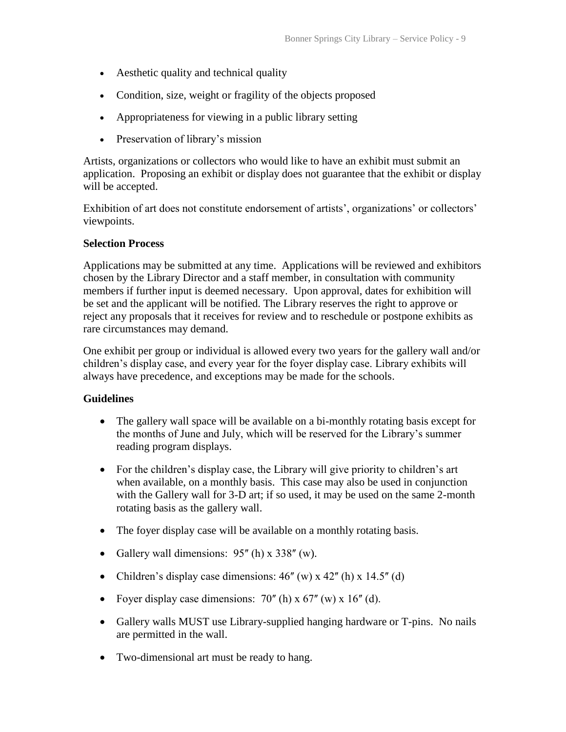- Aesthetic quality and technical quality
- Condition, size, weight or fragility of the objects proposed
- Appropriateness for viewing in a public library setting
- Preservation of library's mission

Artists, organizations or collectors who would like to have an exhibit must submit an application. Proposing an exhibit or display does not guarantee that the exhibit or display will be accepted.

Exhibition of art does not constitute endorsement of artists', organizations' or collectors' viewpoints.

#### **Selection Process**

Applications may be submitted at any time. Applications will be reviewed and exhibitors chosen by the Library Director and a staff member, in consultation with community members if further input is deemed necessary. Upon approval, dates for exhibition will be set and the applicant will be notified. The Library reserves the right to approve or reject any proposals that it receives for review and to reschedule or postpone exhibits as rare circumstances may demand.

One exhibit per group or individual is allowed every two years for the gallery wall and/or children's display case, and every year for the foyer display case. Library exhibits will always have precedence, and exceptions may be made for the schools.

#### **Guidelines**

- The gallery wall space will be available on a bi-monthly rotating basis except for the months of June and July, which will be reserved for the Library's summer reading program displays.
- For the children's display case, the Library will give priority to children's art when available, on a monthly basis. This case may also be used in conjunction with the Gallery wall for 3-D art; if so used, it may be used on the same 2-month rotating basis as the gallery wall.
- The foyer display case will be available on a monthly rotating basis.
- Gallery wall dimensions:  $95^{\prime\prime}$  (h) x 338 $^{\prime\prime}$  (w).
- Children's display case dimensions:  $46^{\prime\prime}$  (w) x  $42^{\prime\prime}$  (h) x  $14.5^{\prime\prime}$  (d)
- Foyer display case dimensions:  $70^{\circ}$  (h) x  $67^{\circ}$  (w) x  $16^{\circ}$  (d).
- Gallery walls MUST use Library-supplied hanging hardware or T-pins. No nails are permitted in the wall.
- Two-dimensional art must be ready to hang.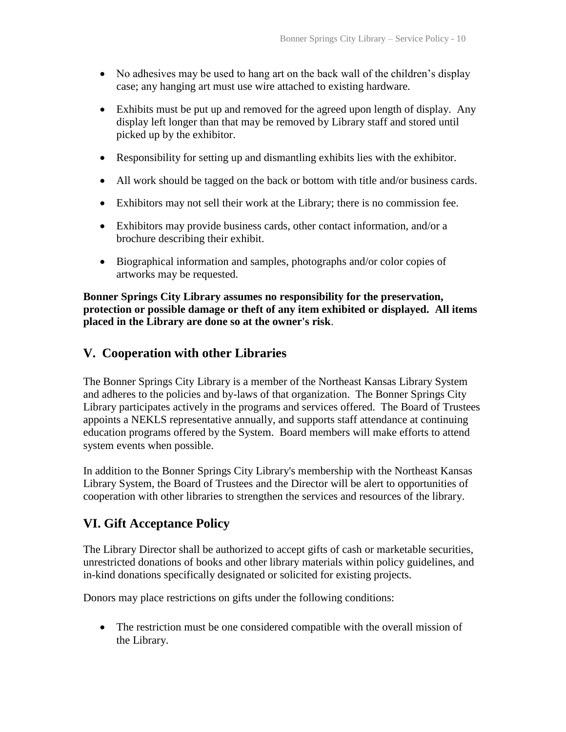- No adhesives may be used to hang art on the back wall of the children's display case; any hanging art must use wire attached to existing hardware.
- Exhibits must be put up and removed for the agreed upon length of display. Any display left longer than that may be removed by Library staff and stored until picked up by the exhibitor.
- Responsibility for setting up and dismantling exhibits lies with the exhibitor.
- All work should be tagged on the back or bottom with title and/or business cards.
- Exhibitors may not sell their work at the Library; there is no commission fee.
- Exhibitors may provide business cards, other contact information, and/or a brochure describing their exhibit.
- Biographical information and samples, photographs and/or color copies of artworks may be requested.

**Bonner Springs City Library assumes no responsibility for the preservation, protection or possible damage or theft of any item exhibited or displayed. All items placed in the Library are done so at the owner's risk**.

### **V. Cooperation with other Libraries**

The Bonner Springs City Library is a member of the Northeast Kansas Library System and adheres to the policies and by-laws of that organization. The Bonner Springs City Library participates actively in the programs and services offered. The Board of Trustees appoints a NEKLS representative annually, and supports staff attendance at continuing education programs offered by the System. Board members will make efforts to attend system events when possible.

In addition to the Bonner Springs City Library's membership with the Northeast Kansas Library System, the Board of Trustees and the Director will be alert to opportunities of cooperation with other libraries to strengthen the services and resources of the library.

### **VI. Gift Acceptance Policy**

The Library Director shall be authorized to accept gifts of cash or marketable securities, unrestricted donations of books and other library materials within policy guidelines, and in-kind donations specifically designated or solicited for existing projects.

Donors may place restrictions on gifts under the following conditions:

 The restriction must be one considered compatible with the overall mission of the Library.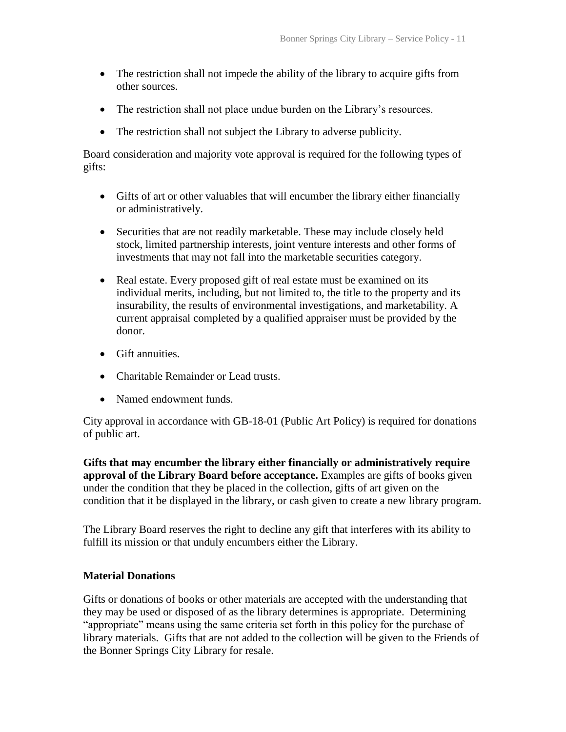- The restriction shall not impede the ability of the library to acquire gifts from other sources.
- The restriction shall not place undue burden on the Library's resources.
- The restriction shall not subject the Library to adverse publicity.

Board consideration and majority vote approval is required for the following types of gifts:

- Gifts of art or other valuables that will encumber the library either financially or administratively.
- Securities that are not readily marketable. These may include closely held stock, limited partnership interests, joint venture interests and other forms of investments that may not fall into the marketable securities category.
- Real estate. Every proposed gift of real estate must be examined on its individual merits, including, but not limited to, the title to the property and its insurability, the results of environmental investigations, and marketability. A current appraisal completed by a qualified appraiser must be provided by the donor.
- Gift annuities.
- Charitable Remainder or Lead trusts.
- Named endowment funds.

City approval in accordance with GB-18-01 (Public Art Policy) is required for donations of public art.

**Gifts that may encumber the library either financially or administratively require approval of the Library Board before acceptance.** Examples are gifts of books given under the condition that they be placed in the collection, gifts of art given on the condition that it be displayed in the library, or cash given to create a new library program.

The Library Board reserves the right to decline any gift that interferes with its ability to fulfill its mission or that unduly encumbers either the Library.

#### **Material Donations**

Gifts or donations of books or other materials are accepted with the understanding that they may be used or disposed of as the library determines is appropriate. Determining "appropriate" means using the same criteria set forth in this policy for the purchase of library materials. Gifts that are not added to the collection will be given to the Friends of the Bonner Springs City Library for resale.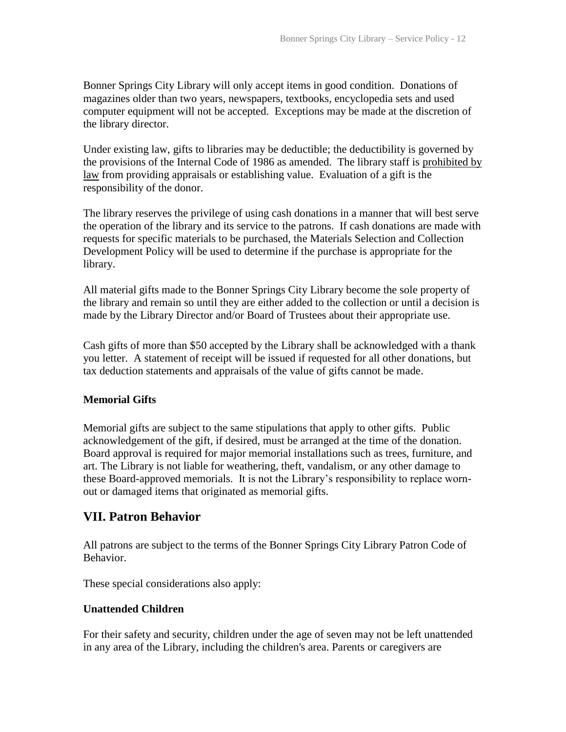Bonner Springs City Library will only accept items in good condition. Donations of magazines older than two years, newspapers, textbooks, encyclopedia sets and used computer equipment will not be accepted. Exceptions may be made at the discretion of the library director.

Under existing law, gifts to libraries may be deductible; the deductibility is governed by the provisions of the Internal Code of 1986 as amended. The library staff is prohibited by law from providing appraisals or establishing value. Evaluation of a gift is the responsibility of the donor.

The library reserves the privilege of using cash donations in a manner that will best serve the operation of the library and its service to the patrons. If cash donations are made with requests for specific materials to be purchased, the Materials Selection and Collection Development Policy will be used to determine if the purchase is appropriate for the library.

All material gifts made to the Bonner Springs City Library become the sole property of the library and remain so until they are either added to the collection or until a decision is made by the Library Director and/or Board of Trustees about their appropriate use.

Cash gifts of more than \$50 accepted by the Library shall be acknowledged with a thank you letter. A statement of receipt will be issued if requested for all other donations, but tax deduction statements and appraisals of the value of gifts cannot be made.

#### **Memorial Gifts**

Memorial gifts are subject to the same stipulations that apply to other gifts. Public acknowledgement of the gift, if desired, must be arranged at the time of the donation. Board approval is required for major memorial installations such as trees, furniture, and art. The Library is not liable for weathering, theft, vandalism, or any other damage to these Board-approved memorials. It is not the Library's responsibility to replace wornout or damaged items that originated as memorial gifts.

### **VII. Patron Behavior**

All patrons are subject to the terms of the Bonner Springs City Library Patron Code of Behavior.

These special considerations also apply:

#### **Unattended Children**

For their safety and security, children under the age of seven may not be left unattended in any area of the Library, including the children's area. Parents or caregivers are